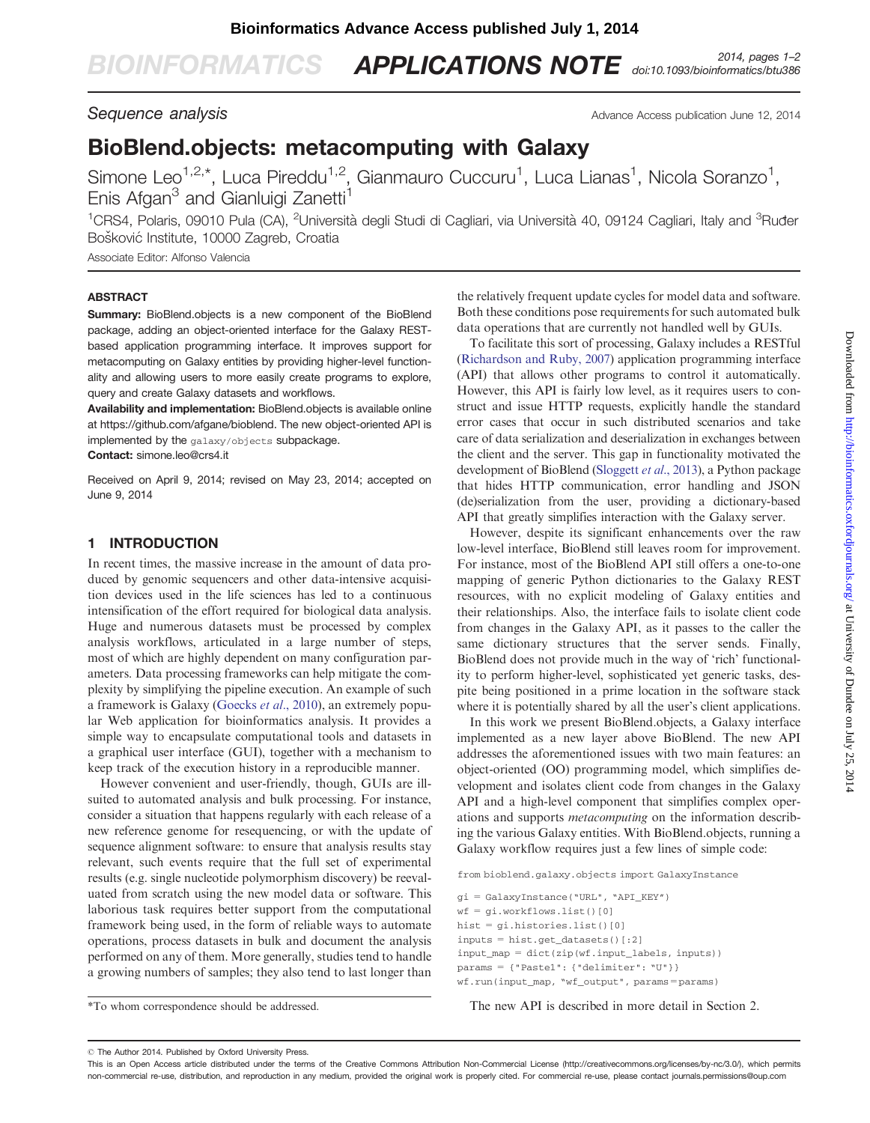BIOINFORMATICS APPLICATIONS NOTE doi:10.1093/bioinformatics/btu386

Sequence analysis and the state of the state of the Advance Access publication June 12, 2014

# BioBlend.objects: metacomputing with Galaxy

Simone Leo<sup>1,2,\*</sup>, Luca Pireddu<sup>1,2</sup>, Gianmauro Cuccuru<sup>1</sup>, Luca Lianas<sup>1</sup>, Nicola Soranzo<sup>1</sup>, Enis Afgan<sup>3</sup> and Gianluigi Zanetti<sup>1</sup>

<sup>1</sup>CRS4, Polaris, 09010 Pula (CA), <sup>2</sup>Università degli Studi di Cagliari, via Università 40, 09124 Cagliari, Italy and <sup>3</sup>Ruđer Bošković Institute, 10000 Zagreb, Croatia

Associate Editor: Alfonso Valencia

#### **ABSTRACT**

Summary: BioBlend.objects is a new component of the BioBlend package, adding an object-oriented interface for the Galaxy RESTbased application programming interface. It improves support for metacomputing on Galaxy entities by providing higher-level functionality and allowing users to more easily create programs to explore, query and create Galaxy datasets and workflows.

Availability and implementation: BioBlend.objects is available online at [https://github.com/afgane/bioblend.](https://github.com/afgane/bioblend) The new object-oriented API is implemented by the galaxy/objects subpackage.

Contact: [simone.leo@crs4.it](mailto:simone.leo@crs4.it)

Received on April 9, 2014; revised on May 23, 2014; accepted on June 9, 2014

# 1 INTRODUCTION

In recent times, the massive increase in the amount of data produced by genomic sequencers and other data-intensive acquisition devices used in the life sciences has led to a continuous intensification of the effort required for biological data analysis. Huge and numerous datasets must be processed by complex analysis workflows, articulated in a large number of steps, most of which are highly dependent on many configuration parameters. Data processing frameworks can help mitigate the complexity by simplifying the pipeline execution. An example of such a framework is Galaxy ([Goecks](#page-1-0) et al., 2010), an extremely popular Web application for bioinformatics analysis. It provides a simple way to encapsulate computational tools and datasets in a graphical user interface (GUI), together with a mechanism to keep track of the execution history in a reproducible manner.

However convenient and user-friendly, though, GUIs are illsuited to automated analysis and bulk processing. For instance, consider a situation that happens regularly with each release of a new reference genome for resequencing, or with the update of sequence alignment software: to ensure that analysis results stay relevant, such events require that the full set of experimental results (e.g. single nucleotide polymorphism discovery) be reevaluated from scratch using the new model data or software. This laborious task requires better support from the computational framework being used, in the form of reliable ways to automate operations, process datasets in bulk and document the analysis performed on any of them. More generally, studies tend to handle a growing numbers of samples; they also tend to last longer than

the relatively frequent update cycles for model data and software. Both these conditions pose requirements for such automated bulk data operations that are currently not handled well by GUIs.

To facilitate this sort of processing, Galaxy includes a RESTful ([Richardson and Ruby, 2007\)](#page-1-0) application programming interface (API) that allows other programs to control it automatically. However, this API is fairly low level, as it requires users to construct and issue HTTP requests, explicitly handle the standard error cases that occur in such distributed scenarios and take care of data serialization and deserialization in exchanges between the client and the server. This gap in functionality motivated the development of BioBlend [\(Sloggett](#page-1-0) et al., 2013), a Python package that hides HTTP communication, error handling and JSON (de)serialization from the user, providing a dictionary-based API that greatly simplifies interaction with the Galaxy server.

However, despite its significant enhancements over the raw low-level interface, BioBlend still leaves room for improvement. For instance, most of the BioBlend API still offers a one-to-one mapping of generic Python dictionaries to the Galaxy REST resources, with no explicit modeling of Galaxy entities and their relationships. Also, the interface fails to isolate client code from changes in the Galaxy API, as it passes to the caller the same dictionary structures that the server sends. Finally, BioBlend does not provide much in the way of 'rich' functionality to perform higher-level, sophisticated yet generic tasks, despite being positioned in a prime location in the software stack where it is potentially shared by all the user's client applications.

In this work we present BioBlend.objects, a Galaxy interface implemented as a new layer above BioBlend. The new API addresses the aforementioned issues with two main features: an object-oriented (OO) programming model, which simplifies development and isolates client code from changes in the Galaxy API and a high-level component that simplifies complex operations and supports metacomputing on the information describing the various Galaxy entities. With BioBlend.objects, running a Galaxy workflow requires just a few lines of simple code:

from bioblend.galaxy.objects import GalaxyInstance

```
gi = GalaxyInstance("URL", "API_KEY")
wf = qi.workflows.list()[0]hist = gi.histories.list()[0]
inputs = hist.get_datasets()[:2]input_map = dict(zip(wf.input_labels, inputs))
params = {"Paste1": {"delimiter": "U"}}
wf.run(input_map, "wf_output", params=params)
```
\*To whom correspondence should be addressed. The new API is described in more detail in Section 2.

This is an Open Access article distributed under the terms of the Creative Commons Attribution Non-Commercial License ([http://creativecommons.org/licenses/by-nc/3.0/\)](XPath error Undefined namespace prefix), which permits non-commercial re-use, distribution, and reproduction in any medium, provided the original work is properly cited. For commercial re-use, please contact journals.permissions@oup.com